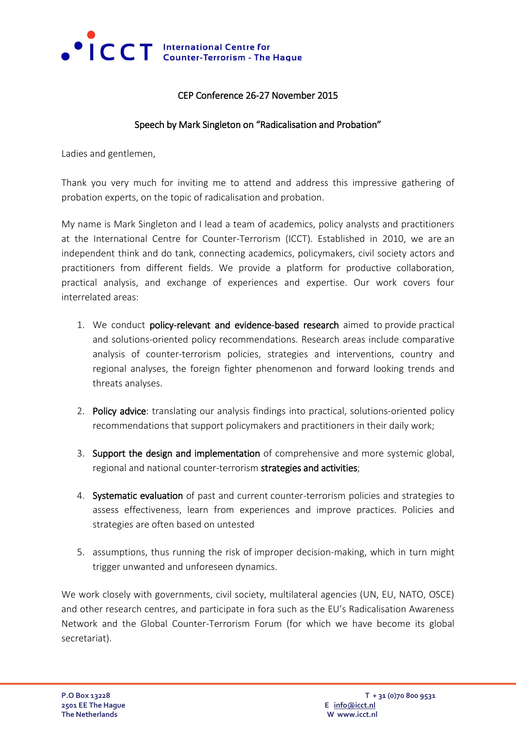

## CEP Conference 26-27 November 2015

### Speech by Mark Singleton on "Radicalisation and Probation"

Ladies and gentlemen,

Thank you very much for inviting me to attend and address this impressive gathering of probation experts, on the topic of radicalisation and probation.

My name is Mark Singleton and I lead a team of academics, policy analysts and practitioners at the International Centre for Counter-Terrorism (ICCT). Established in 2010, we are an independent think and do tank, connecting academics, policymakers, civil society actors and practitioners from different fields. We provide a platform for productive collaboration, practical analysis, and exchange of experiences and expertise. Our work covers four interrelated areas:

- 1. We conduct policy-relevant and evidence-based research aimed to provide practical and solutions-oriented policy recommendations. Research areas include comparative analysis of counter-terrorism policies, strategies and interventions, country and regional analyses, the foreign fighter phenomenon and forward looking trends and threats analyses.
- 2. Policy advice: translating our analysis findings into practical, solutions-oriented policy recommendations that support policymakers and practitioners in their daily work;
- 3. Support the design and implementation of comprehensive and more systemic global, regional and national counter-terrorism strategies and activities;
- 4. Systematic evaluation of past and current counter-terrorism policies and strategies to assess effectiveness, learn from experiences and improve practices. Policies and strategies are often based on untested
- 5. assumptions, thus running the risk of improper decision-making, which in turn might trigger unwanted and unforeseen dynamics.

We work closely with governments, civil society, multilateral agencies (UN, EU, NATO, OSCE) and other research centres, and participate in fora such as the EU's Radicalisation Awareness Network and the Global Counter-Terrorism Forum (for which we have become its global secretariat).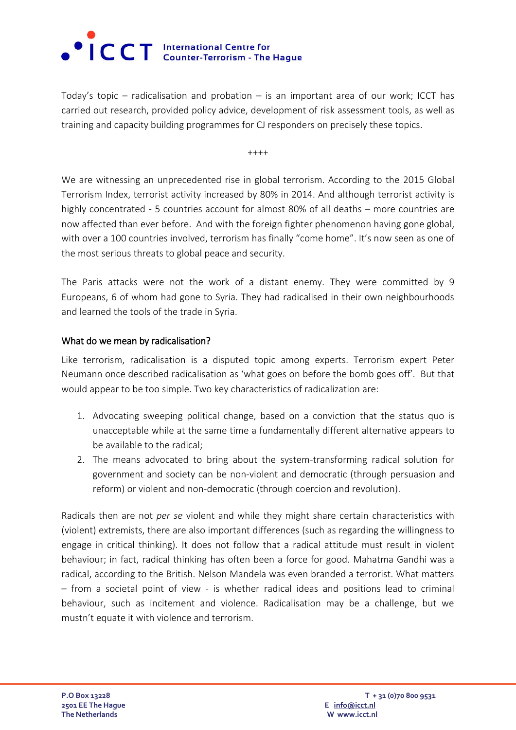

Today's topic – radicalisation and probation – is an important area of our work; ICCT has carried out research, provided policy advice, development of risk assessment tools, as well as training and capacity building programmes for CJ responders on precisely these topics.

++++

We are witnessing an unprecedented rise in global terrorism. According to the 2015 Global Terrorism Index, terrorist activity increased by 80% in 2014. And although terrorist activity is highly concentrated - 5 countries account for almost 80% of all deaths – more countries are now affected than ever before. And with the foreign fighter phenomenon having gone global, with over a 100 countries involved, terrorism has finally "come home". It's now seen as one of the most serious threats to global peace and security.

The Paris attacks were not the work of a distant enemy. They were committed by 9 Europeans, 6 of whom had gone to Syria. They had radicalised in their own neighbourhoods and learned the tools of the trade in Syria.

#### What do we mean by radicalisation?

Like terrorism, radicalisation is a disputed topic among experts. Terrorism expert Peter Neumann once described radicalisation as 'what goes on before the bomb goes off'. But that would appear to be too simple. Two key characteristics of radicalization are:

- 1. Advocating sweeping political change, based on a conviction that the status quo is unacceptable while at the same time a fundamentally different alternative appears to be available to the radical;
- 2. The means advocated to bring about the system-transforming radical solution for government and society can be non-violent and democratic (through persuasion and reform) or violent and non-democratic (through coercion and revolution).

Radicals then are not *per se* violent and while they might share certain characteristics with (violent) extremists, there are also important differences (such as regarding the willingness to engage in critical thinking). It does not follow that a radical attitude must result in violent behaviour; in fact, radical thinking has often been a force for good. Mahatma Gandhi was a radical, according to the British. Nelson Mandela was even branded a terrorist. What matters – from a societal point of view - is whether radical ideas and positions lead to criminal behaviour, such as incitement and violence. Radicalisation may be a challenge, but we mustn't equate it with violence and terrorism.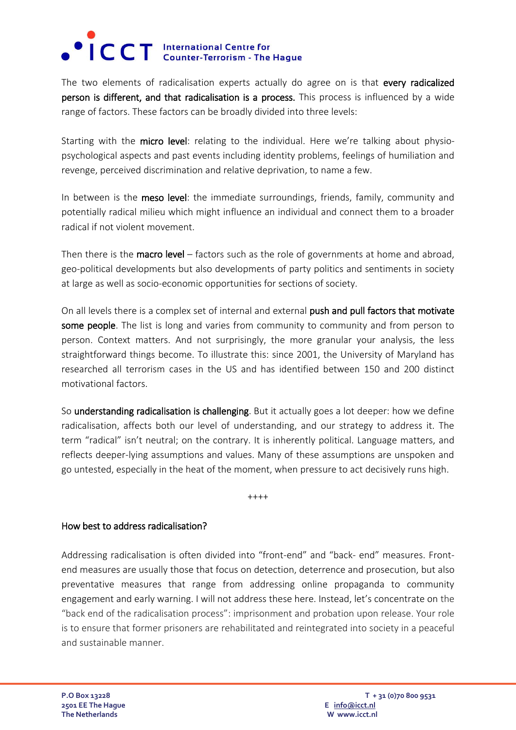# **OCT** International Centre for<br>COT Counter-Terrorism - The Hague

The two elements of radicalisation experts actually do agree on is that every radicalized person is different, and that radicalisation is a process. This process is influenced by a wide range of factors. These factors can be broadly divided into three levels:

Starting with the micro level: relating to the individual. Here we're talking about physiopsychological aspects and past events including identity problems, feelings of humiliation and revenge, perceived discrimination and relative deprivation, to name a few.

In between is the meso level: the immediate surroundings, friends, family, community and potentially radical milieu which might influence an individual and connect them to a broader radical if not violent movement.

Then there is the **macro level** – factors such as the role of governments at home and abroad, geo-political developments but also developments of party politics and sentiments in society at large as well as socio-economic opportunities for sections of society.

On all levels there is a complex set of internal and external push and pull factors that motivate some people. The list is long and varies from community to community and from person to person. Context matters. And not surprisingly, the more granular your analysis, the less straightforward things become. To illustrate this: since 2001, the University of Maryland has researched all terrorism cases in the US and has identified between 150 and 200 distinct motivational factors.

So understanding radicalisation is challenging. But it actually goes a lot deeper: how we define radicalisation, affects both our level of understanding, and our strategy to address it. The term "radical" isn't neutral; on the contrary. It is inherently political. Language matters, and reflects deeper-lying assumptions and values. Many of these assumptions are unspoken and go untested, especially in the heat of the moment, when pressure to act decisively runs high.

++++

## How best to address radicalisation?

Addressing radicalisation is often divided into "front-end" and "back- end" measures. Frontend measures are usually those that focus on detection, deterrence and prosecution, but also preventative measures that range from addressing online propaganda to community engagement and early warning. I will not address these here. Instead, let's concentrate on the "back end of the radicalisation process": imprisonment and probation upon release. Your role is to ensure that former prisoners are rehabilitated and reintegrated into society in a peaceful and sustainable manner.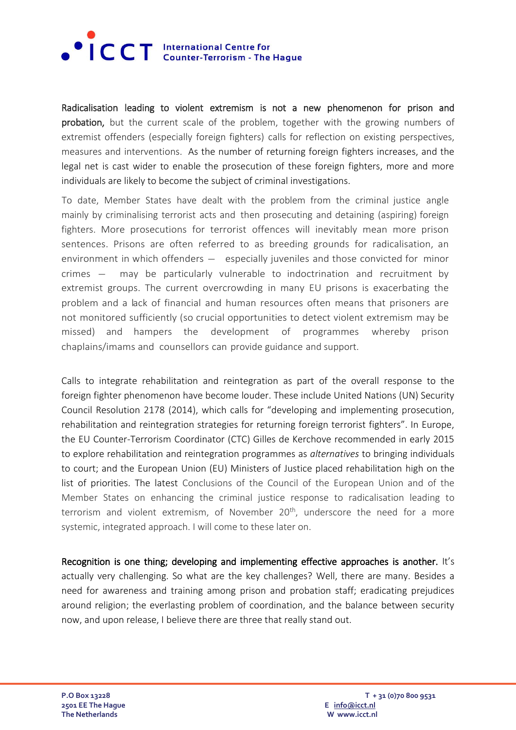

Radicalisation leading to violent extremism is not a new phenomenon for prison and probation, but the current scale of the problem, together with the growing numbers of extremist offenders (especially foreign fighters) calls for reflection on existing perspectives, measures and interventions. As the number of returning foreign fighters increases, and the legal net is cast wider to enable the prosecution of these foreign fighters, more and more individuals are likely to become the subject of criminal investigations.

To date, Member States have dealt with the problem from the criminal justice angle mainly by criminalising terrorist acts and then prosecuting and detaining (aspiring) foreign fighters. More prosecutions for terrorist offences will inevitably mean more prison sentences. Prisons are often referred to as breeding grounds for radicalisation, an environment in which offenders  $-$  especially juveniles and those convicted for minor crimes  $-$  may be particularly vulnerable to indoctrination and recruitment by may be particularly vulnerable to indoctrination and recruitment by extremist groups. The current overcrowding in many EU prisons is exacerbating the problem and a lack of financial and human resources often means that prisoners are not monitored sufficiently (so crucial opportunities to detect violent extremism may be missed) and hampers the development of programmes whereby prison chaplains/imams and counsellors can provide guidance and support.

Calls to integrate rehabilitation and reintegration as part of the overall response to the foreign fighter phenomenon have become louder. These include United Nations (UN) Security Council Resolution 2178 (2014), which calls for "developing and implementing prosecution, rehabilitation and reintegration strategies for returning foreign terrorist fighters". In Europe, the EU Counter-Terrorism Coordinator (CTC) Gilles de Kerchove recommended in early 2015 to explore rehabilitation and reintegration programmes as *alternatives* to bringing individuals to court; and the European Union (EU) Ministers of Justice placed rehabilitation high on the list of priorities. The latest Conclusions of the Council of the European Union and of the Member States on enhancing the criminal justice response to radicalisation leading to terrorism and violent extremism, of November  $20<sup>th</sup>$ , underscore the need for a more systemic, integrated approach. I will come to these later on.

Recognition is one thing; developing and implementing effective approaches is another. It's actually very challenging. So what are the key challenges? Well, there are many. Besides a need for awareness and training among prison and probation staff; eradicating prejudices around religion; the everlasting problem of coordination, and the balance between security now, and upon release, I believe there are three that really stand out.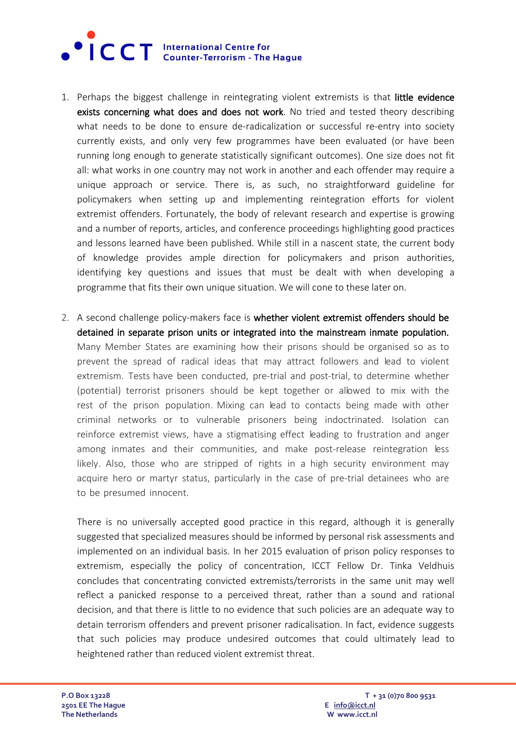# <sup>O</sup>ICCT International Centre for<br>COUnter-Terrorism - The Hague

- 1. Perhaps the biggest challenge in reintegrating violent extremists is that little evidence exists concerning what does and does not work. No tried and tested theory describing what needs to be done to ensure de-radicalization or successful re-entry into society currently exists, and only very few programmes have been evaluated (or have been running long enough to generate statistically significant outcomes). One size does not fit all: what works in one country may not work in another and each offender may require a unique approach or service. There is, as such, no straightforward guideline for policymakers when setting up and implementing reintegration efforts for violent extremist offenders. Fortunately, the body of relevant research and expertise is growing and a number of reports, articles, and conference proceedings highlighting good practices and lessons learned have been published. While still in a nascent state, the current body of knowledge provides ample direction for policymakers and prison authorities, identifying key questions and issues that must be dealt with when developing a programme that fits their own unique situation. We will cone to these later on.
- 2. A second challenge policy-makers face is whether violent extremist offenders should be detained in separate prison units or integrated into the mainstream inmate population. Many Member States are examining how their prisons should be organised so as to prevent the spread of radical ideas that may attract followers and lead to violent extremism. Tests have been conducted, pre-trial and post-trial, to determine whether (potential) terrorist prisoners should be kept together or allowed to mix with the rest of the prison population. Mixing can lead to contacts being made with other criminal networks or to vulnerable prisoners being indoctrinated. Isolation can reinforce extremist views, have a stigmatising effect leading to frustration and anger among inmates and their communities, and make post-release reintegration less likely. Also, those who are stripped of rights in a high security environment may acquire hero or martyr status, particularly in the case of pre-trial detainees who are to be presumed innocent.

There is no universally accepted good practice in this regard, although it is generally suggested that specialized measures should be informed by personal risk assessments and implemented on an individual basis. In her 2015 evaluation of prison policy responses to extremism, especially the policy of concentration, ICCT Fellow Dr. Tinka Veldhuis concludes that concentrating convicted extremists/terrorists in the same unit may well reflect a panicked response to a perceived threat, rather than a sound and rational decision, and that there is little to no evidence that such policies are an adequate way to detain terrorism offenders and prevent prisoner radicalisation. In fact, evidence suggests that such policies may produce undesired outcomes that could ultimately lead to heightened rather than reduced violent extremist threat.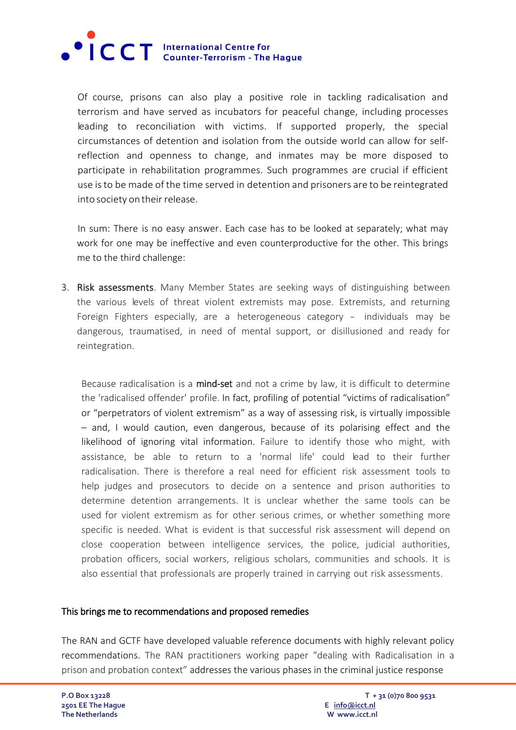

Of course, prisons can also play a positive role in tackling radicalisation and terrorism and have served as incubators for peaceful change, including processes leading to reconciliation with victims. If supported properly, the special circumstances of detention and isolation from the outside world can allow for selfreflection and openness to change, and inmates may be more disposed to participate in rehabilitation programmes. Such programmes are crucial if efficient use isto be made of the time served in detention and prisoners are to be reintegrated into society on their release.

In sum: There is no easy answer. Each case has to be looked at separately; what may work for one may be ineffective and even counterproductive for the other. This brings me to the third challenge:

3. Risk assessments. Many Member States are seeking ways of distinguishing between the various levels of threat violent extremists may pose. Extremists, and returning Foreign Fighters especially, are <sup>a</sup> heterogeneous category - individuals may be dangerous, traumatised, in need of mental support, or disillusioned and ready for reintegration.

Because radicalisation is a mind-set and not a crime by law, it is difficult to determine the 'radicalised offender' profile. In fact, profiling of potential "victims of radicalisation" or "perpetrators of violent extremism" as a way of assessing risk, is virtually impossible – and, I would caution, even dangerous, because of its polarising effect and the likelihood of ignoring vital information. Failure to identify those who might, with assistance, be able to return to a 'normal life' could lead to their further radicalisation. There is therefore a real need for efficient risk assessment tools to help judges and prosecutors to decide on a sentence and prison authorities to determine detention arrangements. It is unclear whether the same tools can be used for violent extremism as for other serious crimes, or whether something more specific is needed. What is evident is that successful risk assessment will depend on close cooperation between intelligence services, the police, judicial authorities, probation officers, social workers, religious scholars, communities and schools. It is also essential that professionals are properly trained in carrying out risk assessments.

#### This brings me to recommendations and proposed remedies

The RAN and GCTF have developed valuable reference documents with highly relevant policy recommendations. The RAN practitioners working paper "dealing with Radicalisation in a prison and probation context" addresses the various phases in the criminal justice response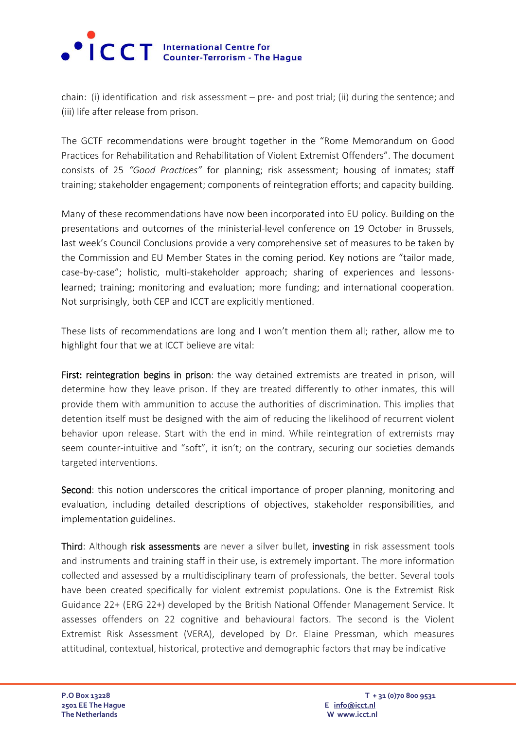

chain: (i) identification and risk assessment – pre- and post trial; (ii) during the sentence; and (iii) life after release from prison.

The GCTF recommendations were brought together in the "Rome Memorandum on Good Practices for Rehabilitation and Rehabilitation of Violent Extremist Offenders". The document consists of 25 *"Good Practices"* for planning; risk assessment; housing of inmates; staff training; stakeholder engagement; components of reintegration efforts; and capacity building.

Many of these recommendations have now been incorporated into EU policy. Building on the presentations and outcomes of the ministerial-level conference on 19 October in Brussels, last week's Council Conclusions provide a very comprehensive set of measures to be taken by the Commission and EU Member States in the coming period. Key notions are "tailor made, case-by-case"; holistic, multi-stakeholder approach; sharing of experiences and lessonslearned; training; monitoring and evaluation; more funding; and international cooperation. Not surprisingly, both CEP and ICCT are explicitly mentioned.

These lists of recommendations are long and I won't mention them all; rather, allow me to highlight four that we at ICCT believe are vital:

First: reintegration begins in prison: the way detained extremists are treated in prison, will determine how they leave prison. If they are treated differently to other inmates, this will provide them with ammunition to accuse the authorities of discrimination. This implies that detention itself must be designed with the aim of reducing the likelihood of recurrent violent behavior upon release. Start with the end in mind. While reintegration of extremists may seem counter-intuitive and "soft", it isn't; on the contrary, securing our societies demands targeted interventions.

Second: this notion underscores the critical importance of proper planning, monitoring and evaluation, including detailed descriptions of objectives, stakeholder responsibilities, and implementation guidelines.

Third: Although risk assessments are never a silver bullet, investing in risk assessment tools and instruments and training staff in their use, is extremely important. The more information collected and assessed by a multidisciplinary team of professionals, the better. Several tools have been created specifically for violent extremist populations. One is the Extremist Risk Guidance 22+ (ERG 22+) developed by the British National Offender Management Service. It assesses offenders on 22 cognitive and behavioural factors. The second is the Violent Extremist Risk Assessment (VERA), developed by Dr. Elaine Pressman, which measures attitudinal, contextual, historical, protective and demographic factors that may be indicative